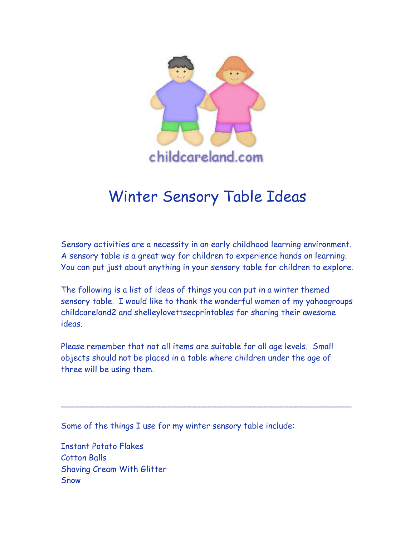

# Winter Sensory Table Ideas

Sensory activities are a necessity in an early childhood learning environment. A sensory table is a great way for children to experience hands on learning. You can put just about anything in your sensory table for children to explore.

The following is a list of ideas of things you can put in a winter themed sensory table. I would like to thank the wonderful women of my yahoogroups childcareland2 and shelleylovettsecprintables for sharing their awesome ideas.

Please remember that not all items are suitable for all age levels. Small objects should not be placed in a table where children under the age of three will be using them.

\_\_\_\_\_\_\_\_\_\_\_\_\_\_\_\_\_\_\_\_\_\_\_\_\_\_\_\_\_\_\_\_\_\_\_\_\_\_\_\_\_\_\_\_\_\_\_\_\_\_\_\_\_\_\_\_\_

Some of the things I use for my winter sensory table include:

Instant Potato Flakes Cotton Balls Shaving Cream With Glitter **Snow**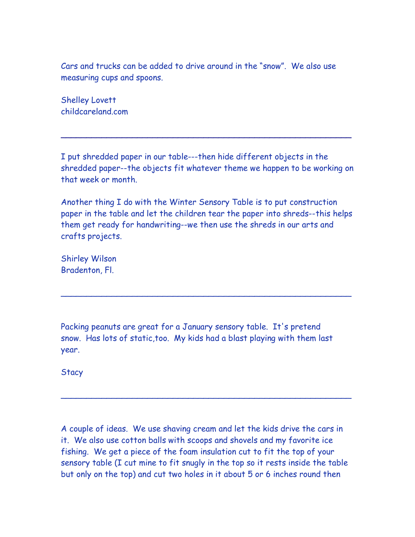Cars and trucks can be added to drive around in the "snow". We also use measuring cups and spoons.

Shelley Lovett childcareland.com

I put shredded paper in our table---then hide different objects in the shredded paper--the objects fit whatever theme we happen to be working on that week or month.

\_\_\_\_\_\_\_\_\_\_\_\_\_\_\_\_\_\_\_\_\_\_\_\_\_\_\_\_\_\_\_\_\_\_\_\_\_\_\_\_\_\_\_\_\_\_\_\_\_\_\_\_\_\_\_\_\_

Another thing I do with the Winter Sensory Table is to put construction paper in the table and let the children tear the paper into shreds--this helps them get ready for handwriting--we then use the shreds in our arts and crafts projects.

\_\_\_\_\_\_\_\_\_\_\_\_\_\_\_\_\_\_\_\_\_\_\_\_\_\_\_\_\_\_\_\_\_\_\_\_\_\_\_\_\_\_\_\_\_\_\_\_\_\_\_\_\_\_\_\_\_

Shirley Wilson Bradenton, Fl.

Packing peanuts are great for a January sensory table. It's pretend snow. Has lots of static,too. My kids had a blast playing with them last year.

**Stacy** 

A couple of ideas. We use shaving cream and let the kids drive the cars in it. We also use cotton balls with scoops and shovels and my favorite ice fishing. We get a piece of the foam insulation cut to fit the top of your sensory table (I cut mine to fit snugly in the top so it rests inside the table but only on the top) and cut two holes in it about 5 or 6 inches round then

\_\_\_\_\_\_\_\_\_\_\_\_\_\_\_\_\_\_\_\_\_\_\_\_\_\_\_\_\_\_\_\_\_\_\_\_\_\_\_\_\_\_\_\_\_\_\_\_\_\_\_\_\_\_\_\_\_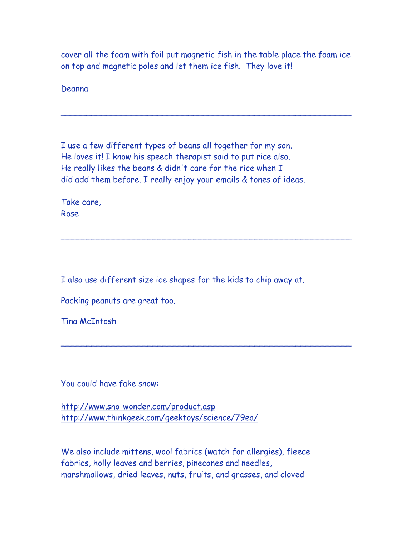cover all the foam with foil put magnetic fish in the table place the foam ice on top and magnetic poles and let them ice fish. They love it!

\_\_\_\_\_\_\_\_\_\_\_\_\_\_\_\_\_\_\_\_\_\_\_\_\_\_\_\_\_\_\_\_\_\_\_\_\_\_\_\_\_\_\_\_\_\_\_\_\_\_\_\_\_\_\_\_\_

\_\_\_\_\_\_\_\_\_\_\_\_\_\_\_\_\_\_\_\_\_\_\_\_\_\_\_\_\_\_\_\_\_\_\_\_\_\_\_\_\_\_\_\_\_\_\_\_\_\_\_\_\_\_\_\_\_

\_\_\_\_\_\_\_\_\_\_\_\_\_\_\_\_\_\_\_\_\_\_\_\_\_\_\_\_\_\_\_\_\_\_\_\_\_\_\_\_\_\_\_\_\_\_\_\_\_\_\_\_\_\_\_\_\_

Deanna

I use a few different types of beans all together for my son. He loves it! I know his speech therapist said to put rice also. He really likes the beans & didn't care for the rice when I did add them before. I really enjoy your emails & tones of ideas.

Take care, Rose

I also use different size ice shapes for the kids to chip away at.

Packing peanuts are great too.

Tina McIntosh

You could have fake snow:

<http://www.sno-wonder.com/product.asp> <http://www.thinkgeek.com/geektoys/science/79ea/>

We also include mittens, wool fabrics (watch for allergies), fleece fabrics, holly leaves and berries, pinecones and needles, marshmallows, dried leaves, nuts, fruits, and grasses, and cloved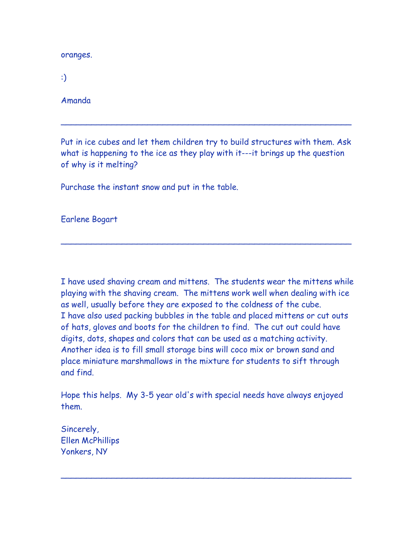oranges.

:)

Amanda

Put in ice cubes and let them children try to build structures with them. Ask what is happening to the ice as they play with it---it brings up the question of why is it melting?

\_\_\_\_\_\_\_\_\_\_\_\_\_\_\_\_\_\_\_\_\_\_\_\_\_\_\_\_\_\_\_\_\_\_\_\_\_\_\_\_\_\_\_\_\_\_\_\_\_\_\_\_\_\_\_\_\_

\_\_\_\_\_\_\_\_\_\_\_\_\_\_\_\_\_\_\_\_\_\_\_\_\_\_\_\_\_\_\_\_\_\_\_\_\_\_\_\_\_\_\_\_\_\_\_\_\_\_\_\_\_\_\_\_\_

Purchase the instant snow and put in the table.

Earlene Bogart

I have used shaving cream and mittens. The students wear the mittens while playing with the shaving cream. The mittens work well when dealing with ice as well, usually before they are exposed to the coldness of the cube. I have also used packing bubbles in the table and placed mittens or cut outs of hats, gloves and boots for the children to find. The cut out could have digits, dots, shapes and colors that can be used as a matching activity. Another idea is to fill small storage bins will coco mix or brown sand and place miniature marshmallows in the mixture for students to sift through and find.

Hope this helps. My 3-5 year old's with special needs have always enjoyed them.

\_\_\_\_\_\_\_\_\_\_\_\_\_\_\_\_\_\_\_\_\_\_\_\_\_\_\_\_\_\_\_\_\_\_\_\_\_\_\_\_\_\_\_\_\_\_\_\_\_\_\_\_\_\_\_\_\_

Sincerely, Ellen McPhillips Yonkers, NY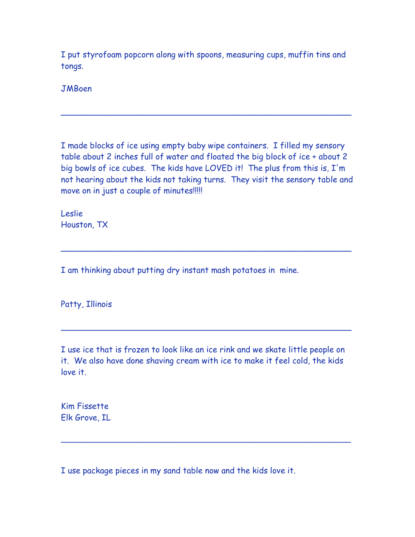I put styrofoam popcorn along with spoons, measuring cups, muffin tins and tongs.

**JMBoen** 

I made blocks of ice using empty baby wipe containers. I filled my sensory table about 2 inches full of water and floated the big block of ice + about 2 big bowls of ice cubes. The kids have LOVED it! The plus from this is, I'm not hearing about the kids not taking turns. They visit the sensory table and move on in just a couple of minutes!!!!!

\_\_\_\_\_\_\_\_\_\_\_\_\_\_\_\_\_\_\_\_\_\_\_\_\_\_\_\_\_\_\_\_\_\_\_\_\_\_\_\_\_\_\_\_\_\_\_\_\_\_\_\_\_\_\_\_\_

\_\_\_\_\_\_\_\_\_\_\_\_\_\_\_\_\_\_\_\_\_\_\_\_\_\_\_\_\_\_\_\_\_\_\_\_\_\_\_\_\_\_\_\_\_\_\_\_\_\_\_\_\_\_\_\_\_

\_\_\_\_\_\_\_\_\_\_\_\_\_\_\_\_\_\_\_\_\_\_\_\_\_\_\_\_\_\_\_\_\_\_\_\_\_\_\_\_\_\_\_\_\_\_\_\_\_\_\_\_\_\_\_\_\_

Leslie Houston, TX

I am thinking about putting dry instant mash potatoes in mine.

Patty, Illinois

I use ice that is frozen to look like an ice rink and we skate little people on it. We also have done shaving cream with ice to make it feel cold, the kids love it.

 $\overline{\phantom{a}}$  , and the contract of the contract of the contract of the contract of the contract of the contract of the contract of the contract of the contract of the contract of the contract of the contract of the contrac

Kim Fissette Elk Grove, IL

I use package pieces in my sand table now and the kids love it.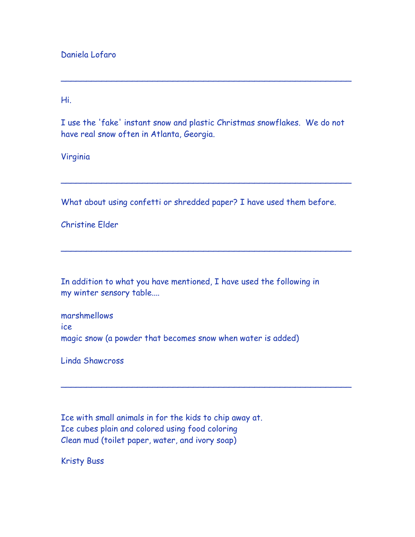Daniela Lofaro

Hi.

I use the 'fake' instant snow and plastic Christmas snowflakes. We do not have real snow often in Atlanta, Georgia.

\_\_\_\_\_\_\_\_\_\_\_\_\_\_\_\_\_\_\_\_\_\_\_\_\_\_\_\_\_\_\_\_\_\_\_\_\_\_\_\_\_\_\_\_\_\_\_\_\_\_\_\_\_\_\_\_\_

Virginia

What about using confetti or shredded paper? I have used them before.

\_\_\_\_\_\_\_\_\_\_\_\_\_\_\_\_\_\_\_\_\_\_\_\_\_\_\_\_\_\_\_\_\_\_\_\_\_\_\_\_\_\_\_\_\_\_\_\_\_\_\_\_\_\_\_\_\_

\_\_\_\_\_\_\_\_\_\_\_\_\_\_\_\_\_\_\_\_\_\_\_\_\_\_\_\_\_\_\_\_\_\_\_\_\_\_\_\_\_\_\_\_\_\_\_\_\_\_\_\_\_\_\_\_\_

\_\_\_\_\_\_\_\_\_\_\_\_\_\_\_\_\_\_\_\_\_\_\_\_\_\_\_\_\_\_\_\_\_\_\_\_\_\_\_\_\_\_\_\_\_\_\_\_\_\_\_\_\_\_\_\_\_

Christine Elder

In addition to what you have mentioned, I have used the following in my winter sensory table....

marshmellows ice magic snow (a powder that becomes snow when water is added)

Linda Shawcross

Ice with small animals in for the kids to chip away at. Ice cubes plain and colored using food coloring Clean mud (toilet paper, water, and ivory soap)

Kristy Buss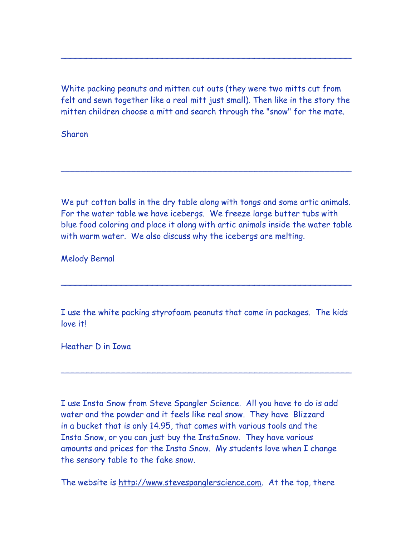White packing peanuts and mitten cut outs (they were two mitts cut from felt and sewn together like a real mitt just small). Then like in the story the mitten children choose a mitt and search through the "snow" for the mate.

\_\_\_\_\_\_\_\_\_\_\_\_\_\_\_\_\_\_\_\_\_\_\_\_\_\_\_\_\_\_\_\_\_\_\_\_\_\_\_\_\_\_\_\_\_\_\_\_\_\_\_\_\_\_\_\_\_

Sharon

We put cotton balls in the dry table along with tongs and some artic animals. For the water table we have icebergs. We freeze large butter tubs with blue food coloring and place it along with artic animals inside the water table with warm water. We also discuss why the icebergs are melting.

\_\_\_\_\_\_\_\_\_\_\_\_\_\_\_\_\_\_\_\_\_\_\_\_\_\_\_\_\_\_\_\_\_\_\_\_\_\_\_\_\_\_\_\_\_\_\_\_\_\_\_\_\_\_\_\_\_

Melody Bernal

I use the white packing styrofoam peanuts that come in packages. The kids love it!

\_\_\_\_\_\_\_\_\_\_\_\_\_\_\_\_\_\_\_\_\_\_\_\_\_\_\_\_\_\_\_\_\_\_\_\_\_\_\_\_\_\_\_\_\_\_\_\_\_\_\_\_\_\_\_\_\_

\_\_\_\_\_\_\_\_\_\_\_\_\_\_\_\_\_\_\_\_\_\_\_\_\_\_\_\_\_\_\_\_\_\_\_\_\_\_\_\_\_\_\_\_\_\_\_\_\_\_\_\_\_\_\_\_\_

Heather D in Iowa

I use Insta Snow from Steve Spangler Science. All you have to do is add water and the powder and it feels like real snow. They have Blizzard in a bucket that is only 14.95, that comes with various tools and the Insta Snow, or you can just buy the InstaSnow. They have various amounts and prices for the Insta Snow. My students love when I change the sensory table to the fake snow.

The website is [http://www.stevespanglerscience.com.](http://www.stevespanglerscience.com/) At the top, there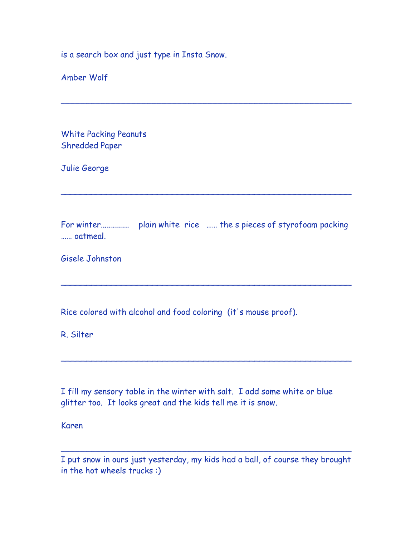is a search box and just type in Insta Snow.

Amber Wolf

White Packing Peanuts Shredded Paper

Julie George

For winter.............. plain white rice …… the s pieces of styrofoam packing …… oatmeal.

\_\_\_\_\_\_\_\_\_\_\_\_\_\_\_\_\_\_\_\_\_\_\_\_\_\_\_\_\_\_\_\_\_\_\_\_\_\_\_\_\_\_\_\_\_\_\_\_\_\_\_\_\_\_\_\_\_

\_\_\_\_\_\_\_\_\_\_\_\_\_\_\_\_\_\_\_\_\_\_\_\_\_\_\_\_\_\_\_\_\_\_\_\_\_\_\_\_\_\_\_\_\_\_\_\_\_\_\_\_\_\_\_\_\_

\_\_\_\_\_\_\_\_\_\_\_\_\_\_\_\_\_\_\_\_\_\_\_\_\_\_\_\_\_\_\_\_\_\_\_\_\_\_\_\_\_\_\_\_\_\_\_\_\_\_\_\_\_\_\_\_\_

\_\_\_\_\_\_\_\_\_\_\_\_\_\_\_\_\_\_\_\_\_\_\_\_\_\_\_\_\_\_\_\_\_\_\_\_\_\_\_\_\_\_\_\_\_\_\_\_\_\_\_\_\_\_\_\_\_

Gisele Johnston

Rice colored with alcohol and food coloring (it's mouse proof).

R. Silter

I fill my sensory table in the winter with salt. I add some white or blue glitter too. It looks great and the kids tell me it is snow.

Karen

I put snow in ours just yesterday, my kids had a ball, of course they brought in the hot wheels trucks :)

\_\_\_\_\_\_\_\_\_\_\_\_\_\_\_\_\_\_\_\_\_\_\_\_\_\_\_\_\_\_\_\_\_\_\_\_\_\_\_\_\_\_\_\_\_\_\_\_\_\_\_\_\_\_\_\_\_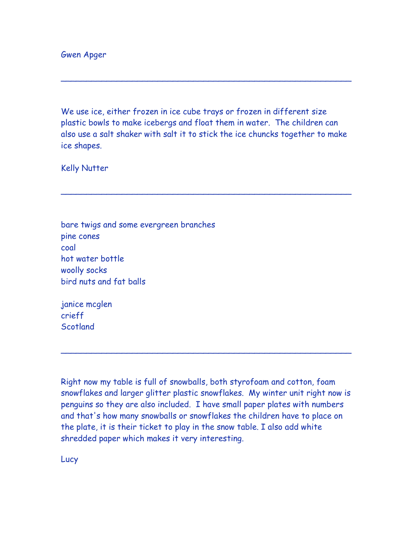Gwen Apger

We use ice, either frozen in ice cube trays or frozen in different size plastic bowls to make icebergs and float them in water. The children can also use a salt shaker with salt it to stick the ice chuncks together to make ice shapes.

\_\_\_\_\_\_\_\_\_\_\_\_\_\_\_\_\_\_\_\_\_\_\_\_\_\_\_\_\_\_\_\_\_\_\_\_\_\_\_\_\_\_\_\_\_\_\_\_\_\_\_\_\_\_\_\_\_

\_\_\_\_\_\_\_\_\_\_\_\_\_\_\_\_\_\_\_\_\_\_\_\_\_\_\_\_\_\_\_\_\_\_\_\_\_\_\_\_\_\_\_\_\_\_\_\_\_\_\_\_\_\_\_\_\_

Kelly Nutter

bare twigs and some evergreen branches pine cones coal hot water bottle woolly socks bird nuts and fat balls

janice mcglen crieff **Scotland** 

Right now my table is full of snowballs, both styrofoam and cotton, foam snowflakes and larger glitter plastic snowflakes. My winter unit right now is penguins so they are also included. I have small paper plates with numbers and that's how many snowballs or snowflakes the children have to place on the plate, it is their ticket to play in the snow table. I also add white shredded paper which makes it very interesting.

\_\_\_\_\_\_\_\_\_\_\_\_\_\_\_\_\_\_\_\_\_\_\_\_\_\_\_\_\_\_\_\_\_\_\_\_\_\_\_\_\_\_\_\_\_\_\_\_\_\_\_\_\_\_\_\_\_

Lucy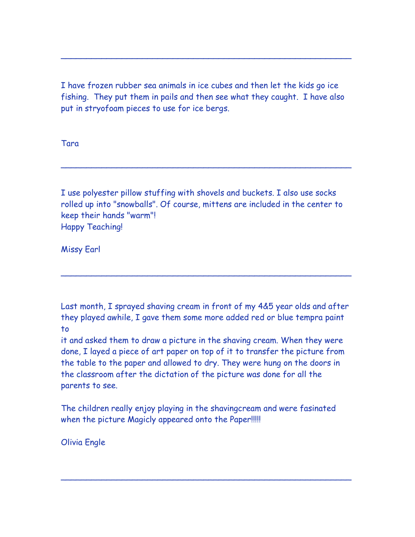I have frozen rubber sea animals in ice cubes and then let the kids go ice fishing. They put them in pails and then see what they caught. I have also put in stryofoam pieces to use for ice bergs.

\_\_\_\_\_\_\_\_\_\_\_\_\_\_\_\_\_\_\_\_\_\_\_\_\_\_\_\_\_\_\_\_\_\_\_\_\_\_\_\_\_\_\_\_\_\_\_\_\_\_\_\_\_\_\_\_\_

Tara

I use polyester pillow stuffing with shovels and buckets. I also use socks rolled up into "snowballs". Of course, mittens are included in the center to keep their hands "warm"! Happy Teaching!

\_\_\_\_\_\_\_\_\_\_\_\_\_\_\_\_\_\_\_\_\_\_\_\_\_\_\_\_\_\_\_\_\_\_\_\_\_\_\_\_\_\_\_\_\_\_\_\_\_\_\_\_\_\_\_\_\_

Missy Earl

Last month, I sprayed shaving cream in front of my 4&5 year olds and after they played awhile, I gave them some more added red or blue tempra paint to

\_\_\_\_\_\_\_\_\_\_\_\_\_\_\_\_\_\_\_\_\_\_\_\_\_\_\_\_\_\_\_\_\_\_\_\_\_\_\_\_\_\_\_\_\_\_\_\_\_\_\_\_\_\_\_\_\_

it and asked them to draw a picture in the shaving cream. When they were done, I layed a piece of art paper on top of it to transfer the picture from the table to the paper and allowed to dry. They were hung on the doors in the classroom after the dictation of the picture was done for all the parents to see.

The children really enjoy playing in the shavingcream and were fasinated when the picture Magicly appeared onto the Paper!!!!!

\_\_\_\_\_\_\_\_\_\_\_\_\_\_\_\_\_\_\_\_\_\_\_\_\_\_\_\_\_\_\_\_\_\_\_\_\_\_\_\_\_\_\_\_\_\_\_\_\_\_\_\_\_\_\_\_\_

Olivia Engle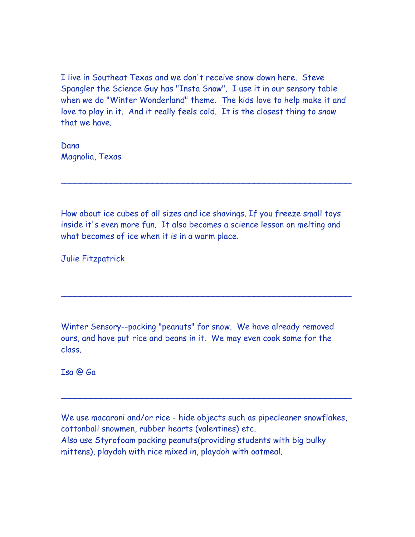I live in Southeat Texas and we don't receive snow down here. Steve Spangler the Science Guy has "Insta Snow". I use it in our sensory table when we do "Winter Wonderland" theme. The kids love to help make it and love to play in it. And it really feels cold. It is the closest thing to snow that we have.

Dana Magnolia, Texas

How about ice cubes of all sizes and ice shavings. If you freeze small toys inside it's even more fun. It also becomes a science lesson on melting and what becomes of ice when it is in a warm place.

\_\_\_\_\_\_\_\_\_\_\_\_\_\_\_\_\_\_\_\_\_\_\_\_\_\_\_\_\_\_\_\_\_\_\_\_\_\_\_\_\_\_\_\_\_\_\_\_\_\_\_\_\_\_\_\_\_

\_\_\_\_\_\_\_\_\_\_\_\_\_\_\_\_\_\_\_\_\_\_\_\_\_\_\_\_\_\_\_\_\_\_\_\_\_\_\_\_\_\_\_\_\_\_\_\_\_\_\_\_\_\_\_\_\_

Julie Fitzpatrick

Winter Sensory--packing "peanuts" for snow. We have already removed ours, and have put rice and beans in it. We may even cook some for the class.

Isa @ Ga

We use macaroni and/or rice - hide objects such as pipecleaner snowflakes, cottonball snowmen, rubber hearts (valentines) etc. Also use Styrofoam packing peanuts(providing students with big bulky mittens), playdoh with rice mixed in, playdoh with oatmeal.

\_\_\_\_\_\_\_\_\_\_\_\_\_\_\_\_\_\_\_\_\_\_\_\_\_\_\_\_\_\_\_\_\_\_\_\_\_\_\_\_\_\_\_\_\_\_\_\_\_\_\_\_\_\_\_\_\_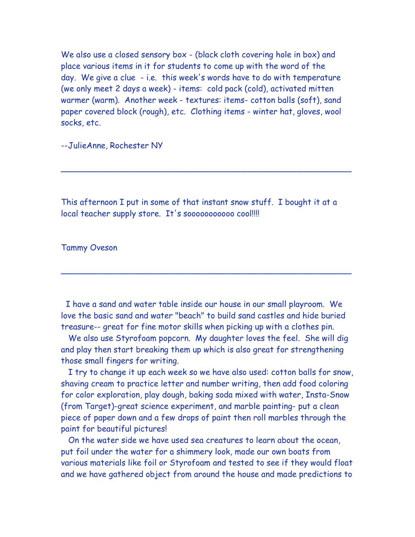We also use a closed sensory box - (black cloth covering hole in box) and place various items in it for students to come up with the word of the day. We give a clue - i.e. this week's words have to do with temperature (we only meet 2 days a week) - items: cold pack (cold), activated mitten warmer (warm). Another week - textures: items- cotton balls (soft), sand paper covered block (rough), etc. Clothing items - winter hat, gloves, wool socks, etc.

--JulieAnne, Rochester NY

This afternoon I put in some of that instant snow stuff. I bought it at a local teacher supply store. It's sooooooooooo cool!!!!

\_\_\_\_\_\_\_\_\_\_\_\_\_\_\_\_\_\_\_\_\_\_\_\_\_\_\_\_\_\_\_\_\_\_\_\_\_\_\_\_\_\_\_\_\_\_\_\_\_\_\_\_\_\_\_\_\_

#### Tammy Oveson

I have a sand and water table inside our house in our small playroom. We love the basic sand and water "beach" to build sand castles and hide buried treasure-- great for fine motor skills when picking up with a clothes pin.

\_\_\_\_\_\_\_\_\_\_\_\_\_\_\_\_\_\_\_\_\_\_\_\_\_\_\_\_\_\_\_\_\_\_\_\_\_\_\_\_\_\_\_\_\_\_\_\_\_\_\_\_\_\_\_\_\_

We also use Styrofoam popcorn. My daughter loves the feel. She will dig and play then start breaking them up which is also great for strengthening those small fingers for writing.

I try to change it up each week so we have also used: cotton balls for snow, shaving cream to practice letter and number writing, then add food coloring for color exploration, play dough, baking soda mixed with water, Insta-Snow (from Target)-great science experiment, and marble painting- put a clean piece of paper down and a few drops of paint then roll marbles through the paint for beautiful pictures!

On the water side we have used sea creatures to learn about the ocean, put foil under the water for a shimmery look, made our own boats from various materials like foil or Styrofoam and tested to see if they would float and we have gathered object from around the house and made predictions to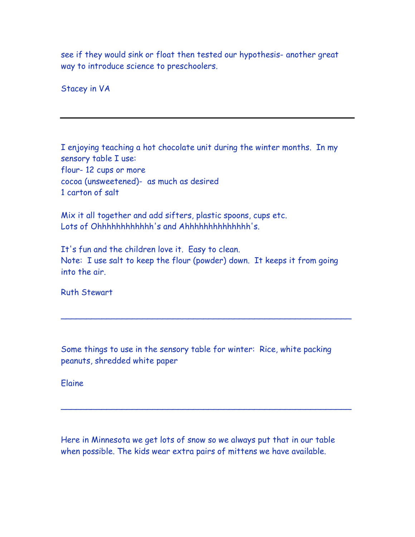see if they would sink or float then tested our hypothesis- another great way to introduce science to preschoolers.

Stacey in VA

I enjoying teaching a hot chocolate unit during the winter months. In my sensory table I use: flour- 12 cups or more cocoa (unsweetened)- as much as desired 1 carton of salt

Mix it all together and add sifters, plastic spoons, cups etc. Lots of Ohhhhhhhhhhh 's and Ahhhhhhhhhhhhh 's.

It's fun and the children love it. Easy to clean. Note: I use salt to keep the flour (powder) down. It keeps it from going into the air.

Ruth Stewart

Some things to use in the sensory table for winter: Rice, white packing peanuts, shredded white paper

\_\_\_\_\_\_\_\_\_\_\_\_\_\_\_\_\_\_\_\_\_\_\_\_\_\_\_\_\_\_\_\_\_\_\_\_\_\_\_\_\_\_\_\_\_\_\_\_\_\_\_\_\_\_\_\_\_

\_\_\_\_\_\_\_\_\_\_\_\_\_\_\_\_\_\_\_\_\_\_\_\_\_\_\_\_\_\_\_\_\_\_\_\_\_\_\_\_\_\_\_\_\_\_\_\_\_\_\_\_\_\_\_\_\_

Elaine

Here in Minnesota we get lots of snow so we always put that in our table when possible. The kids wear extra pairs of mittens we have available.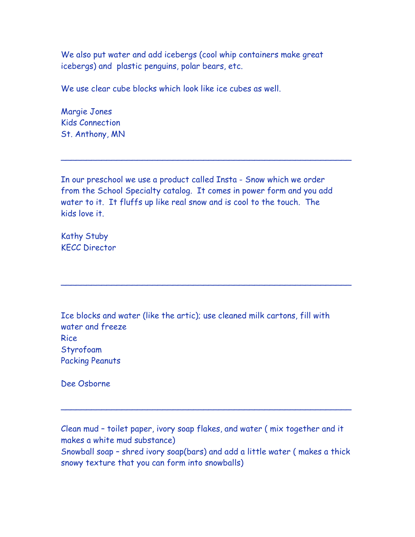We also put water and add icebergs (cool whip containers make great icebergs) and plastic penguins, polar bears, etc.

We use clear cube blocks which look like ice cubes as well.

Margie Jones Kids Connection St. Anthony, MN

In our preschool we use a product called Insta - Snow which we order from the School Specialty catalog. It comes in power form and you add water to it. It fluffs up like real snow and is cool to the touch. The kids love it.

\_\_\_\_\_\_\_\_\_\_\_\_\_\_\_\_\_\_\_\_\_\_\_\_\_\_\_\_\_\_\_\_\_\_\_\_\_\_\_\_\_\_\_\_\_\_\_\_\_\_\_\_\_\_\_\_\_

\_\_\_\_\_\_\_\_\_\_\_\_\_\_\_\_\_\_\_\_\_\_\_\_\_\_\_\_\_\_\_\_\_\_\_\_\_\_\_\_\_\_\_\_\_\_\_\_\_\_\_\_\_\_\_\_\_

Kathy Stuby KECC Director

Ice blocks and water (like the artic); use cleaned milk cartons, fill with water and freeze Rice Styrofoam Packing Peanuts

Dee Osborne

Clean mud – toilet paper, ivory soap flakes, and water ( mix together and it makes a white mud substance) Snowball soap – shred ivory soap(bars) and add a little water ( makes a thick snowy texture that you can form into snowballs)

\_\_\_\_\_\_\_\_\_\_\_\_\_\_\_\_\_\_\_\_\_\_\_\_\_\_\_\_\_\_\_\_\_\_\_\_\_\_\_\_\_\_\_\_\_\_\_\_\_\_\_\_\_\_\_\_\_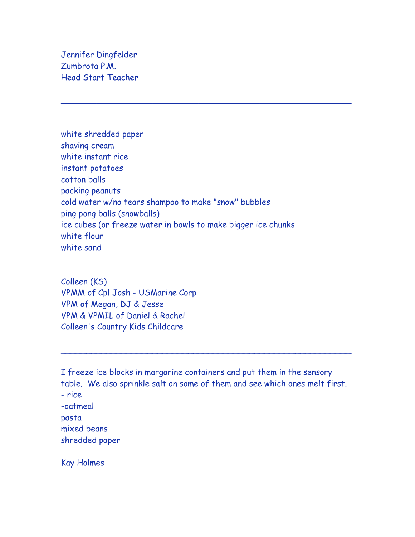Jennifer Dingfelder Zumbrota P.M. Head Start Teacher

white shredded paper shaving cream white instant rice instant potatoes cotton balls packing peanuts cold water w/no tears shampoo to make "snow" bubbles ping pong balls (snowballs) ice cubes (or freeze water in bowls to make bigger ice chunks white flour white sand

\_\_\_\_\_\_\_\_\_\_\_\_\_\_\_\_\_\_\_\_\_\_\_\_\_\_\_\_\_\_\_\_\_\_\_\_\_\_\_\_\_\_\_\_\_\_\_\_\_\_\_\_\_\_\_\_\_

Colleen (KS) VPMM of Cpl Josh - USMarine Corp VPM of Megan, DJ & Jesse VPM & VPMIL of Daniel & Rachel Colleen's Country Kids Childcare

I freeze ice blocks in margarine containers and put them in the sensory table. We also sprinkle salt on some of them and see which ones melt first. - rice -oatmeal pasta mixed beans shredded paper

\_\_\_\_\_\_\_\_\_\_\_\_\_\_\_\_\_\_\_\_\_\_\_\_\_\_\_\_\_\_\_\_\_\_\_\_\_\_\_\_\_\_\_\_\_\_\_\_\_\_\_\_\_\_\_\_\_

Kay Holmes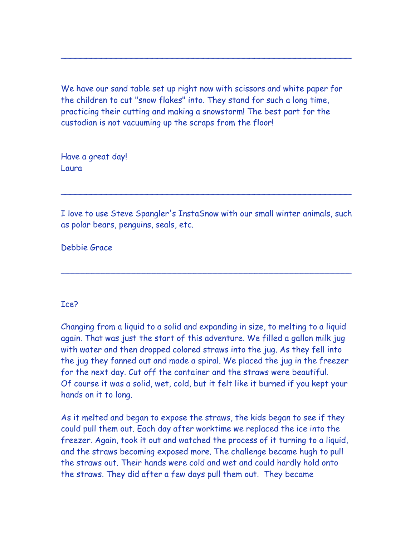We have our sand table set up right now with scissors and white paper for the children to cut "snow flakes" into. They stand for such a long time, practicing their cutting and making a snowstorm! The best part for the custodian is not vacuuming up the scraps from the floor!

\_\_\_\_\_\_\_\_\_\_\_\_\_\_\_\_\_\_\_\_\_\_\_\_\_\_\_\_\_\_\_\_\_\_\_\_\_\_\_\_\_\_\_\_\_\_\_\_\_\_\_\_\_\_\_\_\_

Have a great day! Laura

I love to use Steve Spangler's InstaSnow with our small winter animals, such as polar bears, penguins, seals, etc.

\_\_\_\_\_\_\_\_\_\_\_\_\_\_\_\_\_\_\_\_\_\_\_\_\_\_\_\_\_\_\_\_\_\_\_\_\_\_\_\_\_\_\_\_\_\_\_\_\_\_\_\_\_\_\_\_\_

\_\_\_\_\_\_\_\_\_\_\_\_\_\_\_\_\_\_\_\_\_\_\_\_\_\_\_\_\_\_\_\_\_\_\_\_\_\_\_\_\_\_\_\_\_\_\_\_\_\_\_\_\_\_\_\_\_

Debbie Grace

## Ice?

Changing from a liquid to a solid and expanding in size, to melting to a liquid again. That was just the start of this adventure. We filled a gallon milk jug with water and then dropped colored straws into the jug. As they fell into the jug they fanned out and made a spiral. We placed the jug in the freezer for the next day. Cut off the container and the straws were beautiful. Of course it was a solid, wet, cold, but it felt like it burned if you kept your hands on it to long.

As it melted and began to expose the straws, the kids began to see if they could pull them out. Each day after worktime we replaced the ice into the freezer. Again, took it out and watched the process of it turning to a liquid, and the straws becoming exposed more. The challenge became hugh to pull the straws out. Their hands were cold and wet and could hardly hold onto the straws. They did after a few days pull them out. They became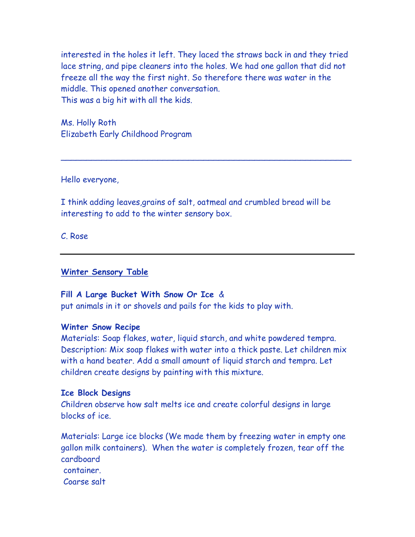interested in the holes it left. They laced the straws back in and they tried lace string, and pipe cleaners into the holes. We had one gallon that did not freeze all the way the first night. So therefore there was water in the middle. This opened another conversation. This was a big hit with all the kids.

\_\_\_\_\_\_\_\_\_\_\_\_\_\_\_\_\_\_\_\_\_\_\_\_\_\_\_\_\_\_\_\_\_\_\_\_\_\_\_\_\_\_\_\_\_\_\_\_\_\_\_\_\_\_\_\_\_

Ms. Holly Roth Elizabeth Early Childhood Program

Hello everyone,

I think adding leaves,grains of salt, oatmeal and crumbled bread will be interesting to add to the winter sensory box.

C. Rose

#### **Winter Sensory Table**

#### **Fill A Large Bucket With Snow Or Ice** &

put animals in it or shovels and pails for the kids to play with.

#### **Winter Snow Recipe**

Materials: Soap flakes, water, liquid starch, and white powdered tempra. Description: Mix soap flakes with water into a thick paste. Let children mix with a hand beater. Add a small amount of liquid starch and tempra. Let children create designs by painting with this mixture.

#### **Ice Block Designs**

Children observe how salt melts ice and create colorful designs in large blocks of ice.

Materials: Large ice blocks (We made them by freezing water in empty one gallon milk containers). When the water is completely frozen, tear off the cardboard container. Coarse salt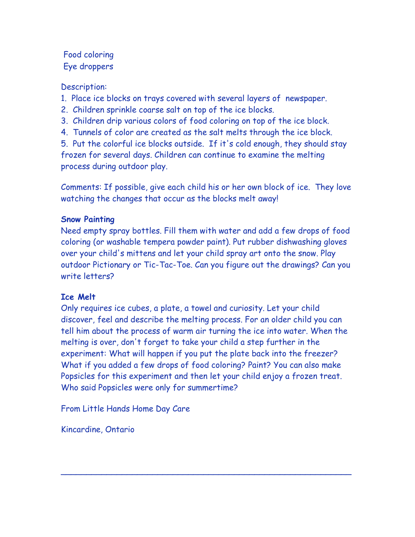# Food coloring Eye droppers

# Description:

- 1. Place ice blocks on trays covered with several layers of newspaper.
- 2. Children sprinkle coarse salt on top of the ice blocks.
- 3. Children drip various colors of food coloring on top of the ice block.
- 4. Tunnels of color are created as the salt melts through the ice block.

5. Put the colorful ice blocks outside. If it's cold enough, they should stay frozen for several days. Children can continue to examine the melting process during outdoor play.

Comments: If possible, give each child his or her own block of ice. They love watching the changes that occur as the blocks melt away!

## **Snow Painting**

Need empty spray bottles. Fill them with water and add a few drops of food coloring (or washable tempera powder paint). Put rubber dishwashing gloves over your child's mittens and let your child spray art onto the snow. Play outdoor Pictionary or Tic-Tac-Toe. Can you figure out the drawings? Can you write letters?

## **Ice Melt**

Only requires ice cubes, a plate, a towel and curiosity. Let your child discover, feel and describe the melting process. For an older child you can tell him about the process of warm air turning the ice into water. When the melting is over, don't forget to take your child a step further in the experiment: What will happen if you put the plate back into the freezer? What if you added a few drops of food coloring? Paint? You can also make Popsicles for this experiment and then let your child enjoy a frozen treat. Who said Popsicles were only for summertime?

\_\_\_\_\_\_\_\_\_\_\_\_\_\_\_\_\_\_\_\_\_\_\_\_\_\_\_\_\_\_\_\_\_\_\_\_\_\_\_\_\_\_\_\_\_\_\_\_\_\_\_\_\_\_\_\_\_

From Little Hands Home Day Care

Kincardine, Ontario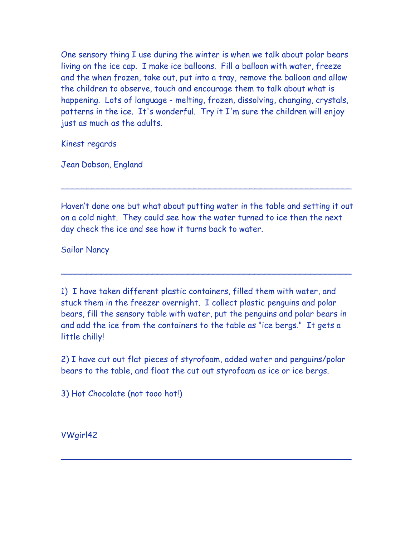One sensory thing I use during the winter is when we talk about polar bears living on the ice cap. I make ice balloons. Fill a balloon with water, freeze and the when frozen, take out, put into a tray, remove the balloon and allow the children to observe, touch and encourage them to talk about what is happening. Lots of language - melting, frozen, dissolving, changing, crystals, patterns in the ice. It's wonderful. Try it I'm sure the children will enjoy just as much as the adults.

Kinest regards

Jean Dobson, England

Haven't done one but what about putting water in the table and setting it out on a cold night. They could see how the water turned to ice then the next day check the ice and see how it turns back to water.

\_\_\_\_\_\_\_\_\_\_\_\_\_\_\_\_\_\_\_\_\_\_\_\_\_\_\_\_\_\_\_\_\_\_\_\_\_\_\_\_\_\_\_\_\_\_\_\_\_\_\_\_\_\_\_\_\_

\_\_\_\_\_\_\_\_\_\_\_\_\_\_\_\_\_\_\_\_\_\_\_\_\_\_\_\_\_\_\_\_\_\_\_\_\_\_\_\_\_\_\_\_\_\_\_\_\_\_\_\_\_\_\_\_\_

Sailor Nancy

1) I have taken different plastic containers, filled them with water, and stuck them in the freezer overnight. I collect plastic penguins and polar bears, fill the sensory table with water, put the penguins and polar bears in and add the ice from the containers to the table as "ice bergs." It gets a little chilly!

2) I have cut out flat pieces of styrofoam, added water and penguins/polar bears to the table, and float the cut out styrofoam as ice or ice bergs.

\_\_\_\_\_\_\_\_\_\_\_\_\_\_\_\_\_\_\_\_\_\_\_\_\_\_\_\_\_\_\_\_\_\_\_\_\_\_\_\_\_\_\_\_\_\_\_\_\_\_\_\_\_\_\_\_\_

3) Hot Chocolate (not tooo hot!)

VWgirl42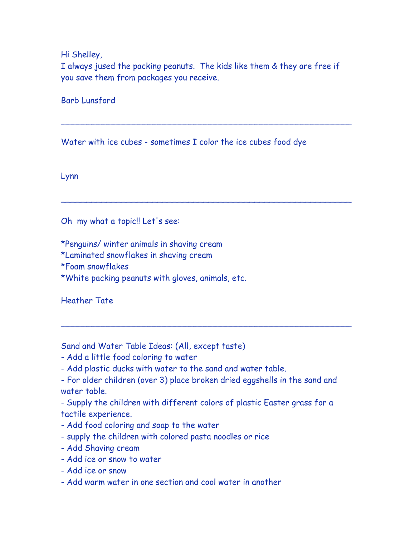Hi Shelley,

I always jused the packing peanuts. The kids like them & they are free if you save them from packages you receive.

\_\_\_\_\_\_\_\_\_\_\_\_\_\_\_\_\_\_\_\_\_\_\_\_\_\_\_\_\_\_\_\_\_\_\_\_\_\_\_\_\_\_\_\_\_\_\_\_\_\_\_\_\_\_\_\_\_

\_\_\_\_\_\_\_\_\_\_\_\_\_\_\_\_\_\_\_\_\_\_\_\_\_\_\_\_\_\_\_\_\_\_\_\_\_\_\_\_\_\_\_\_\_\_\_\_\_\_\_\_\_\_\_\_\_

\_\_\_\_\_\_\_\_\_\_\_\_\_\_\_\_\_\_\_\_\_\_\_\_\_\_\_\_\_\_\_\_\_\_\_\_\_\_\_\_\_\_\_\_\_\_\_\_\_\_\_\_\_\_\_\_\_

Barb Lunsford

Water with ice cubes - sometimes I color the ice cubes food dye

Lynn

Oh my what a topic!! Let's see:

\*Penguins/ winter animals in shaving cream

\*Laminated snowflakes in shaving cream

\*Foam snowflakes

\*White packing peanuts with gloves, animals, etc.

Heather Tate

Sand and Water Table Ideas: (All, except taste)

- Add a little food coloring to water
- Add plastic ducks with water to the sand and water table.

- For older children (over 3) place broken dried eggshells in the sand and water table.

- Supply the children with different colors of plastic Easter grass for a tactile experience.

- Add food coloring and soap to the water
- supply the children with colored pasta noodles or rice
- Add Shaving cream
- Add ice or snow to water
- Add ice or snow
- Add warm water in one section and cool water in another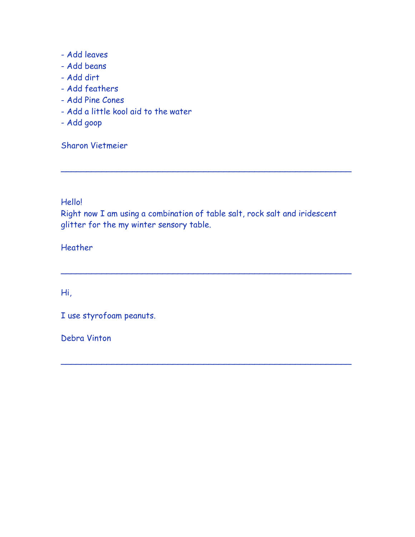- Add leaves
- Add beans
- Add dirt
- Add feathers
- Add Pine Cones
- Add a little kool aid to the water
- Add goop

Sharon Vietmeier

Hello!

Right now I am using a combination of table salt, rock salt and iridescent glitter for the my winter sensory table.

\_\_\_\_\_\_\_\_\_\_\_\_\_\_\_\_\_\_\_\_\_\_\_\_\_\_\_\_\_\_\_\_\_\_\_\_\_\_\_\_\_\_\_\_\_\_\_\_\_\_\_\_\_\_\_\_\_

\_\_\_\_\_\_\_\_\_\_\_\_\_\_\_\_\_\_\_\_\_\_\_\_\_\_\_\_\_\_\_\_\_\_\_\_\_\_\_\_\_\_\_\_\_\_\_\_\_\_\_\_\_\_\_\_\_

\_\_\_\_\_\_\_\_\_\_\_\_\_\_\_\_\_\_\_\_\_\_\_\_\_\_\_\_\_\_\_\_\_\_\_\_\_\_\_\_\_\_\_\_\_\_\_\_\_\_\_\_\_\_\_\_\_

Heather

Hi,

I use styrofoam peanuts.

Debra Vinton